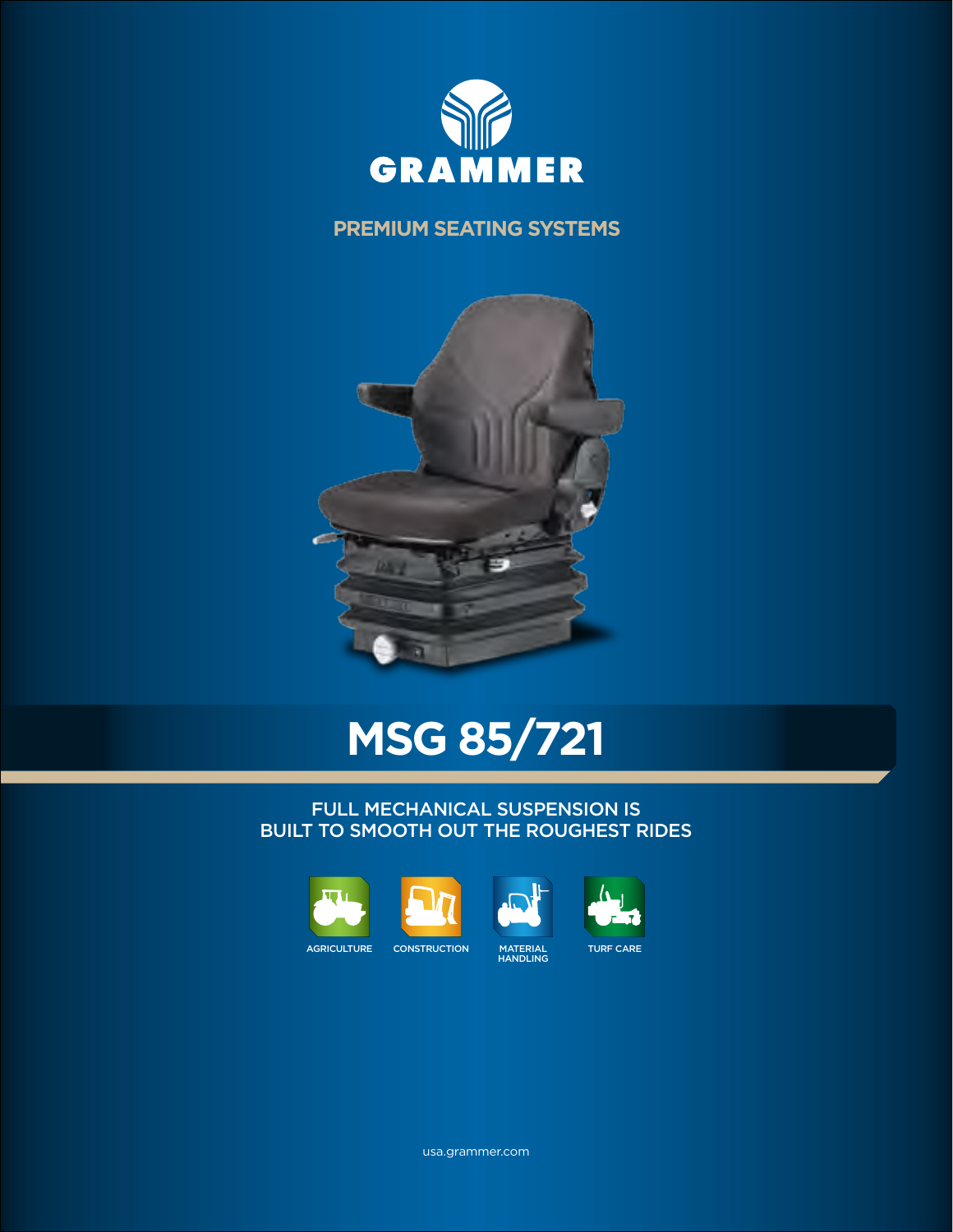

## **PREMIUM SEATING SYSTEMS**



# **MSG 85/721**

### FULL MECHANICAL SUSPENSION IS BUILT TO SMOOTH OUT THE ROUGHEST RIDES





usa.grammer.com